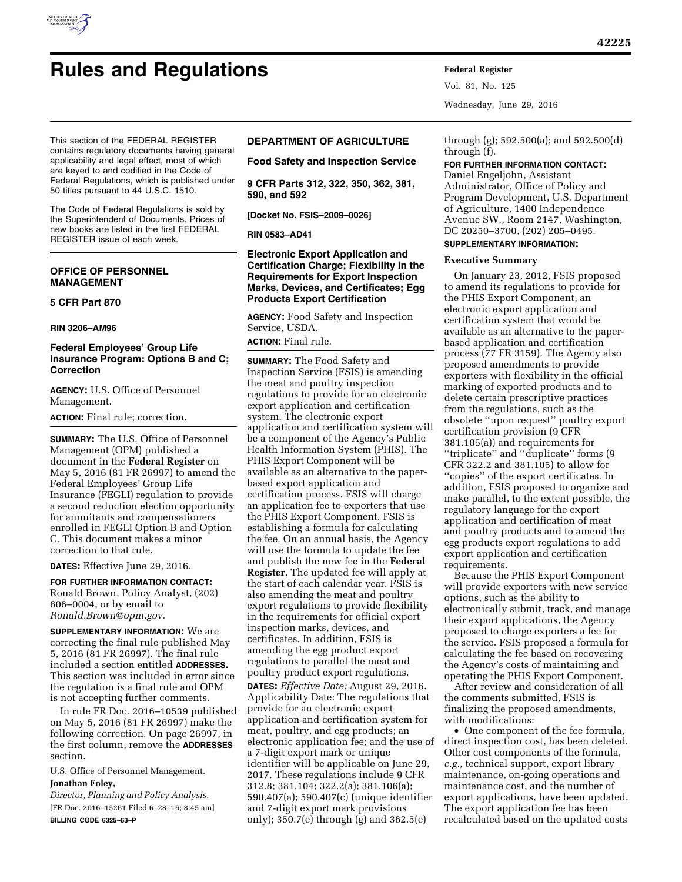

Vol. 81, No. 125 Wednesday, June 29, 2016

This section of the FEDERAL REGISTER contains regulatory documents having general applicability and legal effect, most of which are keyed to and codified in the Code of Federal Regulations, which is published under 50 titles pursuant to 44 U.S.C. 1510.

The Code of Federal Regulations is sold by the Superintendent of Documents. Prices of new books are listed in the first FEDERAL REGISTER issue of each week.

# **OFFICE OF PERSONNEL MANAGEMENT**

### **5 CFR Part 870**

#### **RIN 3206–AM96**

# **Federal Employees' Group Life Insurance Program: Options B and C; Correction**

**AGENCY:** U.S. Office of Personnel Management.

**ACTION:** Final rule; correction.

**SUMMARY:** The U.S. Office of Personnel Management (OPM) published a document in the **Federal Register** on May 5, 2016 (81 FR 26997) to amend the Federal Employees' Group Life Insurance (FEGLI) regulation to provide a second reduction election opportunity for annuitants and compensationers enrolled in FEGLI Option B and Option C. This document makes a minor correction to that rule.

**DATES:** Effective June 29, 2016.

**FOR FURTHER INFORMATION CONTACT:**  Ronald Brown, Policy Analyst, (202) 606–0004, or by email to *[Ronald.Brown@opm.gov.](mailto:Ronald.Brown@opm.gov)* 

**SUPPLEMENTARY INFORMATION:** We are correcting the final rule published May 5, 2016 (81 FR 26997). The final rule included a section entitled **ADDRESSES.**  This section was included in error since the regulation is a final rule and OPM is not accepting further comments.

In rule FR Doc. 2016–10539 published on May 5, 2016 (81 FR 26997) make the following correction. On page 26997, in the first column, remove the **ADDRESSES** section.

U.S. Office of Personnel Management. **Jonathan Foley,** 

*Director, Planning and Policy Analysis.*  [FR Doc. 2016–15261 Filed 6–28–16; 8:45 am] **BILLING CODE 6325–63–P** 

# **DEPARTMENT OF AGRICULTURE**

**Food Safety and Inspection Service** 

**9 CFR Parts 312, 322, 350, 362, 381, 590, and 592** 

**[Docket No. FSIS–2009–0026]** 

**RIN 0583–AD41** 

**Electronic Export Application and Certification Charge; Flexibility in the Requirements for Export Inspection Marks, Devices, and Certificates; Egg Products Export Certification** 

**AGENCY:** Food Safety and Inspection Service, USDA.

**ACTION:** Final rule.

**SUMMARY:** The Food Safety and Inspection Service (FSIS) is amending the meat and poultry inspection regulations to provide for an electronic export application and certification system. The electronic export application and certification system will be a component of the Agency's Public Health Information System (PHIS). The PHIS Export Component will be available as an alternative to the paperbased export application and certification process. FSIS will charge an application fee to exporters that use the PHIS Export Component. FSIS is establishing a formula for calculating the fee. On an annual basis, the Agency will use the formula to update the fee and publish the new fee in the **Federal Register**. The updated fee will apply at the start of each calendar year. FSIS is also amending the meat and poultry export regulations to provide flexibility in the requirements for official export inspection marks, devices, and certificates. In addition, FSIS is amending the egg product export regulations to parallel the meat and poultry product export regulations.

**DATES:** *Effective Date:* August 29, 2016. Applicability Date: The regulations that provide for an electronic export application and certification system for meat, poultry, and egg products; an electronic application fee; and the use of a 7-digit export mark or unique identifier will be applicable on June 29, 2017. These regulations include 9 CFR 312.8; 381.104; 322.2(a); 381.106(a); 590.407(a); 590.407(c) (unique identifier and 7-digit export mark provisions only); 350.7(e) through (g) and 362.5(e)

through (g); 592.500(a); and 592.500(d) through (f).

#### **FOR FURTHER INFORMATION CONTACT:**

Daniel Engeljohn, Assistant Administrator, Office of Policy and Program Development, U.S. Department of Agriculture, 1400 Independence Avenue SW., Room 2147, Washington, DC 20250–3700, (202) 205–0495. **SUPPLEMENTARY INFORMATION:** 

#### **Executive Summary**

On January 23, 2012, FSIS proposed to amend its regulations to provide for the PHIS Export Component, an electronic export application and certification system that would be available as an alternative to the paperbased application and certification process (77 FR 3159). The Agency also proposed amendments to provide exporters with flexibility in the official marking of exported products and to delete certain prescriptive practices from the regulations, such as the obsolete ''upon request'' poultry export certification provision (9 CFR 381.105(a)) and requirements for ''triplicate'' and ''duplicate'' forms (9 CFR 322.2 and 381.105) to allow for ''copies'' of the export certificates. In addition, FSIS proposed to organize and make parallel, to the extent possible, the regulatory language for the export application and certification of meat and poultry products and to amend the egg products export regulations to add export application and certification requirements.

Because the PHIS Export Component will provide exporters with new service options, such as the ability to electronically submit, track, and manage their export applications, the Agency proposed to charge exporters a fee for the service. FSIS proposed a formula for calculating the fee based on recovering the Agency's costs of maintaining and operating the PHIS Export Component.

After review and consideration of all the comments submitted, FSIS is finalizing the proposed amendments, with modifications:

• One component of the fee formula, direct inspection cost, has been deleted. Other cost components of the formula, *e.g.,* technical support, export library maintenance, on-going operations and maintenance cost, and the number of export applications, have been updated. The export application fee has been recalculated based on the updated costs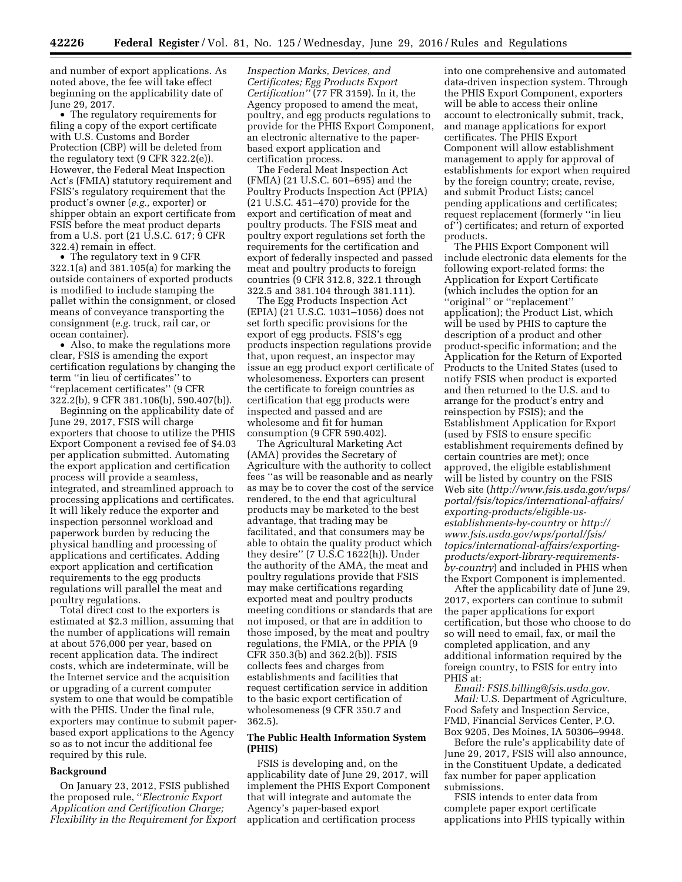and number of export applications. As noted above, the fee will take effect beginning on the applicability date of June 29, 2017.

• The regulatory requirements for filing a copy of the export certificate with U.S. Customs and Border Protection (CBP) will be deleted from the regulatory text (9 CFR 322.2(e)). However, the Federal Meat Inspection Act's (FMIA) statutory requirement and FSIS's regulatory requirement that the product's owner (*e.g.,* exporter) or shipper obtain an export certificate from FSIS before the meat product departs from a U.S. port (21 U.S.C. 617; 9 CFR 322.4) remain in effect.

• The regulatory text in 9 CFR 322.1(a) and 381.105(a) for marking the outside containers of exported products is modified to include stamping the pallet within the consignment, or closed means of conveyance transporting the consignment (*e.g.* truck, rail car, or ocean container).

• Also, to make the regulations more clear, FSIS is amending the export certification regulations by changing the term ''in lieu of certificates'' to ''replacement certificates'' (9 CFR 322.2(b), 9 CFR 381.106(b), 590.407(b)).

Beginning on the applicability date of June 29, 2017, FSIS will charge exporters that choose to utilize the PHIS Export Component a revised fee of \$4.03 per application submitted. Automating the export application and certification process will provide a seamless, integrated, and streamlined approach to processing applications and certificates. It will likely reduce the exporter and inspection personnel workload and paperwork burden by reducing the physical handling and processing of applications and certificates. Adding export application and certification requirements to the egg products regulations will parallel the meat and poultry regulations.

Total direct cost to the exporters is estimated at \$2.3 million, assuming that the number of applications will remain at about 576,000 per year, based on recent application data. The indirect costs, which are indeterminate, will be the Internet service and the acquisition or upgrading of a current computer system to one that would be compatible with the PHIS. Under the final rule, exporters may continue to submit paperbased export applications to the Agency so as to not incur the additional fee required by this rule.

#### **Background**

On January 23, 2012, FSIS published the proposed rule, ''*Electronic Export Application and Certification Charge; Flexibility in the Requirement for Export*  *Inspection Marks, Devices, and Certificates; Egg Products Export Certification''* (77 FR 3159). In it, the Agency proposed to amend the meat, poultry, and egg products regulations to provide for the PHIS Export Component, an electronic alternative to the paperbased export application and certification process.

The Federal Meat Inspection Act (FMIA) (21 U.S.C. 601–695) and the Poultry Products Inspection Act (PPIA) (21 U.S.C. 451–470) provide for the export and certification of meat and poultry products. The FSIS meat and poultry export regulations set forth the requirements for the certification and export of federally inspected and passed meat and poultry products to foreign countries (9 CFR 312.8, 322.1 through 322.5 and 381.104 through 381.111).

The Egg Products Inspection Act (EPIA) (21 U.S.C. 1031–1056) does not set forth specific provisions for the export of egg products. FSIS's egg products inspection regulations provide that, upon request, an inspector may issue an egg product export certificate of wholesomeness. Exporters can present the certificate to foreign countries as certification that egg products were inspected and passed and are wholesome and fit for human consumption (9 CFR 590.402).

The Agricultural Marketing Act (AMA) provides the Secretary of Agriculture with the authority to collect fees ''as will be reasonable and as nearly as may be to cover the cost of the service rendered, to the end that agricultural products may be marketed to the best advantage, that trading may be facilitated, and that consumers may be able to obtain the quality product which they desire'' (7 U.S.C 1622(h)). Under the authority of the AMA, the meat and poultry regulations provide that FSIS may make certifications regarding exported meat and poultry products meeting conditions or standards that are not imposed, or that are in addition to those imposed, by the meat and poultry regulations, the FMIA, or the PPIA (9 CFR 350.3(b) and 362.2(b)). FSIS collects fees and charges from establishments and facilities that request certification service in addition to the basic export certification of wholesomeness (9 CFR 350.7 and 362.5).

# **The Public Health Information System (PHIS)**

FSIS is developing and, on the applicability date of June 29, 2017, will implement the PHIS Export Component that will integrate and automate the Agency's paper-based export application and certification process

into one comprehensive and automated data-driven inspection system. Through the PHIS Export Component, exporters will be able to access their online account to electronically submit, track, and manage applications for export certificates. The PHIS Export Component will allow establishment management to apply for approval of establishments for export when required by the foreign country; create, revise, and submit Product Lists; cancel pending applications and certificates; request replacement (formerly ''in lieu of'') certificates; and return of exported products.

The PHIS Export Component will include electronic data elements for the following export-related forms: the Application for Export Certificate (which includes the option for an ''original'' or ''replacement'' application); the Product List, which will be used by PHIS to capture the description of a product and other product-specific information; and the Application for the Return of Exported Products to the United States (used to notify FSIS when product is exported and then returned to the U.S. and to arrange for the product's entry and reinspection by FSIS); and the Establishment Application for Export (used by FSIS to ensure specific establishment requirements defined by certain countries are met); once approved, the eligible establishment will be listed by country on the FSIS Web site (*[http://www.fsis.usda.gov/wps/](http://www.fsis.usda.gov/wps/portal/fsis/topics/international-affairs/exporting-products/eligible-us-establishments-by-country)  [portal/fsis/topics/international-affairs/](http://www.fsis.usda.gov/wps/portal/fsis/topics/international-affairs/exporting-products/eligible-us-establishments-by-country) [exporting-products/eligible-us](http://www.fsis.usda.gov/wps/portal/fsis/topics/international-affairs/exporting-products/eligible-us-establishments-by-country)[establishments-by-country](http://www.fsis.usda.gov/wps/portal/fsis/topics/international-affairs/exporting-products/eligible-us-establishments-by-country)* or *[http://](http://www.fsis.usda.gov/wps/portal/fsis/topics/international-affairs/exporting-products/export-library-requirements-by-country) [www.fsis.usda.gov/wps/portal/fsis/](http://www.fsis.usda.gov/wps/portal/fsis/topics/international-affairs/exporting-products/export-library-requirements-by-country) [topics/international-affairs/exporting](http://www.fsis.usda.gov/wps/portal/fsis/topics/international-affairs/exporting-products/export-library-requirements-by-country)[products/export-library-requirements](http://www.fsis.usda.gov/wps/portal/fsis/topics/international-affairs/exporting-products/export-library-requirements-by-country)[by-country](http://www.fsis.usda.gov/wps/portal/fsis/topics/international-affairs/exporting-products/export-library-requirements-by-country)*) and included in PHIS when the Export Component is implemented.

After the applicability date of June 29, 2017, exporters can continue to submit the paper applications for export certification, but those who choose to do so will need to email, fax, or mail the completed application, and any additional information required by the foreign country, to FSIS for entry into PHIS at:

*Email: [FSIS.billing@fsis.usda.gov](mailto:FSIS.billing@fsis.usda.gov)*. *Mail:* U.S. Department of Agriculture, Food Safety and Inspection Service, FMD, Financial Services Center, P.O. Box 9205, Des Moines, IA 50306–9948.

Before the rule's applicability date of June 29, 2017, FSIS will also announce, in the Constituent Update, a dedicated fax number for paper application submissions.

FSIS intends to enter data from complete paper export certificate applications into PHIS typically within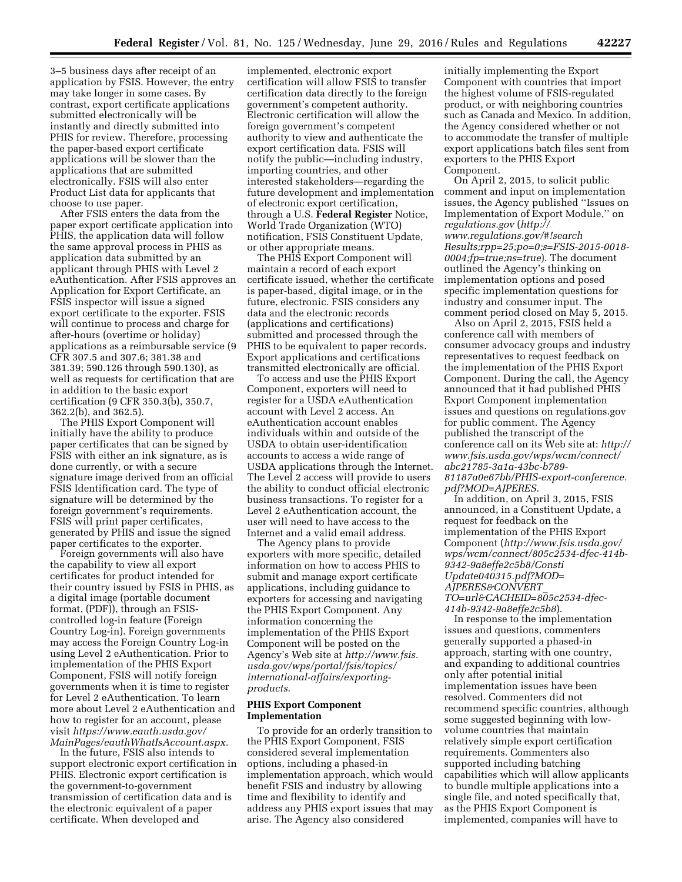3–5 business days after receipt of an application by FSIS. However, the entry may take longer in some cases. By contrast, export certificate applications submitted electronically will be instantly and directly submitted into PHIS for review. Therefore, processing the paper-based export certificate applications will be slower than the applications that are submitted electronically. FSIS will also enter Product List data for applicants that choose to use paper.

After FSIS enters the data from the paper export certificate application into PHIS, the application data will follow the same approval process in PHIS as application data submitted by an applicant through PHIS with Level 2 eAuthentication. After FSIS approves an Application for Export Certificate, an FSIS inspector will issue a signed export certificate to the exporter. FSIS will continue to process and charge for after-hours (overtime or holiday) applications as a reimbursable service (9 CFR 307.5 and 307.6; 381.38 and 381.39; 590.126 through 590.130), as well as requests for certification that are in addition to the basic export certification (9 CFR 350.3(b), 350.7, 362.2(b), and 362.5).

The PHIS Export Component will initially have the ability to produce paper certificates that can be signed by FSIS with either an ink signature, as is done currently, or with a secure signature image derived from an official FSIS Identification card. The type of signature will be determined by the foreign government's requirements. FSIS will print paper certificates, generated by PHIS and issue the signed paper certificates to the exporter.

Foreign governments will also have the capability to view all export certificates for product intended for their country issued by FSIS in PHIS, as a digital image (portable document format, (PDF)), through an FSIScontrolled log-in feature (Foreign Country Log-in). Foreign governments may access the Foreign Country Log-in using Level 2 eAuthentication. Prior to implementation of the PHIS Export Component, FSIS will notify foreign governments when it is time to register for Level 2 eAuthentication. To learn more about Level 2 eAuthentication and how to register for an account, please visit *[https://www.eauth.usda.gov/](https://www.eauth.usda.gov/MainPages/eauthWhatIsAccount.aspx) [MainPages/eauthWhatIsAccount.aspx.](https://www.eauth.usda.gov/MainPages/eauthWhatIsAccount.aspx)* 

In the future, FSIS also intends to support electronic export certification in PHIS. Electronic export certification is the government-to-government transmission of certification data and is the electronic equivalent of a paper certificate. When developed and

implemented, electronic export certification will allow FSIS to transfer certification data directly to the foreign government's competent authority. Electronic certification will allow the foreign government's competent authority to view and authenticate the export certification data. FSIS will notify the public—including industry, importing countries, and other interested stakeholders—regarding the future development and implementation of electronic export certification, through a U.S. **Federal Register** Notice, World Trade Organization (WTO) notification, FSIS Constituent Update, or other appropriate means.

The PHIS Export Component will maintain a record of each export certificate issued, whether the certificate is paper-based, digital image, or in the future, electronic. FSIS considers any data and the electronic records (applications and certifications) submitted and processed through the PHIS to be equivalent to paper records. Export applications and certifications transmitted electronically are official.

To access and use the PHIS Export Component, exporters will need to register for a USDA eAuthentication account with Level 2 access. An eAuthentication account enables individuals within and outside of the USDA to obtain user-identification accounts to access a wide range of USDA applications through the Internet. The Level 2 access will provide to users the ability to conduct official electronic business transactions. To register for a Level 2 eAuthentication account, the user will need to have access to the Internet and a valid email address.

The Agency plans to provide exporters with more specific, detailed information on how to access PHIS to submit and manage export certificate applications, including guidance to exporters for accessing and navigating the PHIS Export Component. Any information concerning the implementation of the PHIS Export Component will be posted on the Agency's Web site at *[http://www.fsis.](http://www.fsis.usda.gov/wps/portal/fsis/topics/international-affairs/exporting-products) [usda.gov/wps/portal/fsis/topics/](http://www.fsis.usda.gov/wps/portal/fsis/topics/international-affairs/exporting-products) [international-affairs/exporting](http://www.fsis.usda.gov/wps/portal/fsis/topics/international-affairs/exporting-products)[products](http://www.fsis.usda.gov/wps/portal/fsis/topics/international-affairs/exporting-products)*.

### **PHIS Export Component Implementation**

To provide for an orderly transition to the PHIS Export Component, FSIS considered several implementation options, including a phased-in implementation approach, which would benefit FSIS and industry by allowing time and flexibility to identify and address any PHIS export issues that may arise. The Agency also considered

initially implementing the Export Component with countries that import the highest volume of FSIS-regulated product, or with neighboring countries such as Canada and Mexico. In addition, the Agency considered whether or not to accommodate the transfer of multiple export applications batch files sent from exporters to the PHIS Export Component.

On April 2, 2015, to solicit public comment and input on implementation issues, the Agency published ''Issues on Implementation of Export Module,'' on *regulations.gov* (*[http://](http://www.regulations.gov/#!searchResults;rpp=25;po=0;s=FSIS-2015-0018-0004;fp=true;ns=true) [www.regulations.gov/#!search](http://www.regulations.gov/#!searchResults;rpp=25;po=0;s=FSIS-2015-0018-0004;fp=true;ns=true) [Results;rpp=25;po=0;s=FSIS-2015-0018-](http://www.regulations.gov/#!searchResults;rpp=25;po=0;s=FSIS-2015-0018-0004;fp=true;ns=true) [0004;fp=true;ns=true](http://www.regulations.gov/#!searchResults;rpp=25;po=0;s=FSIS-2015-0018-0004;fp=true;ns=true)*). The document outlined the Agency's thinking on implementation options and posed specific implementation questions for industry and consumer input. The comment period closed on May 5, 2015.

Also on April 2, 2015, FSIS held a conference call with members of consumer advocacy groups and industry representatives to request feedback on the implementation of the PHIS Export Component. During the call, the Agency announced that it had published PHIS Export Component implementation issues and questions on regulations.gov for public comment. The Agency published the transcript of the conference call on its Web site at: *[http://](http://www.fsis.usda.gov/wps/wcm/connect/abc21785-3a1a-43bc-b789-81187a0e67bb/PHIS-export-conference.pdf?MOD=AJPERES) [www.fsis.usda.gov/wps/wcm/connect/](http://www.fsis.usda.gov/wps/wcm/connect/abc21785-3a1a-43bc-b789-81187a0e67bb/PHIS-export-conference.pdf?MOD=AJPERES) [abc21785-3a1a-43bc-b789-](http://www.fsis.usda.gov/wps/wcm/connect/abc21785-3a1a-43bc-b789-81187a0e67bb/PHIS-export-conference.pdf?MOD=AJPERES) [81187a0e67bb/PHIS-export-conference.](http://www.fsis.usda.gov/wps/wcm/connect/abc21785-3a1a-43bc-b789-81187a0e67bb/PHIS-export-conference.pdf?MOD=AJPERES) [pdf?MOD=AJPERES.](http://www.fsis.usda.gov/wps/wcm/connect/abc21785-3a1a-43bc-b789-81187a0e67bb/PHIS-export-conference.pdf?MOD=AJPERES)* 

In addition, on April 3, 2015, FSIS announced, in a Constituent Update, a request for feedback on the implementation of the PHIS Export Component (*[http://www.fsis.usda.gov/](http://www.fsis.usda.gov/wps/wcm/connect/805c2534-dfec-414b-9342-9a8effe2c5b8/ConstiUpdate040315.pdf?MOD=AJPERES&CONVERT_TO=url&CACHEID=805c2534-dfec-414b-9342-9a8effe2c5b8) [wps/wcm/connect/805c2534-dfec-414b-](http://www.fsis.usda.gov/wps/wcm/connect/805c2534-dfec-414b-9342-9a8effe2c5b8/ConstiUpdate040315.pdf?MOD=AJPERES&CONVERT_TO=url&CACHEID=805c2534-dfec-414b-9342-9a8effe2c5b8)[9342-9a8effe2c5b8/Consti](http://www.fsis.usda.gov/wps/wcm/connect/805c2534-dfec-414b-9342-9a8effe2c5b8/ConstiUpdate040315.pdf?MOD=AJPERES&CONVERT_TO=url&CACHEID=805c2534-dfec-414b-9342-9a8effe2c5b8) [Update040315.pdf?MOD=](http://www.fsis.usda.gov/wps/wcm/connect/805c2534-dfec-414b-9342-9a8effe2c5b8/ConstiUpdate040315.pdf?MOD=AJPERES&CONVERT_TO=url&CACHEID=805c2534-dfec-414b-9342-9a8effe2c5b8) [AJPERES&CONVERT](http://www.fsis.usda.gov/wps/wcm/connect/805c2534-dfec-414b-9342-9a8effe2c5b8/ConstiUpdate040315.pdf?MOD=AJPERES&CONVERT_TO=url&CACHEID=805c2534-dfec-414b-9342-9a8effe2c5b8)*\_ *[TO=url&CACHEID=805c2534-dfec-](http://www.fsis.usda.gov/wps/wcm/connect/805c2534-dfec-414b-9342-9a8effe2c5b8/ConstiUpdate040315.pdf?MOD=AJPERES&CONVERT_TO=url&CACHEID=805c2534-dfec-414b-9342-9a8effe2c5b8)[414b-9342-9a8effe2c5b8](http://www.fsis.usda.gov/wps/wcm/connect/805c2534-dfec-414b-9342-9a8effe2c5b8/ConstiUpdate040315.pdf?MOD=AJPERES&CONVERT_TO=url&CACHEID=805c2534-dfec-414b-9342-9a8effe2c5b8)*).

In response to the implementation issues and questions, commenters generally supported a phased-in approach, starting with one country, and expanding to additional countries only after potential initial implementation issues have been resolved. Commenters did not recommend specific countries, although some suggested beginning with lowvolume countries that maintain relatively simple export certification requirements. Commenters also supported including batching capabilities which will allow applicants to bundle multiple applications into a single file, and noted specifically that, as the PHIS Export Component is implemented, companies will have to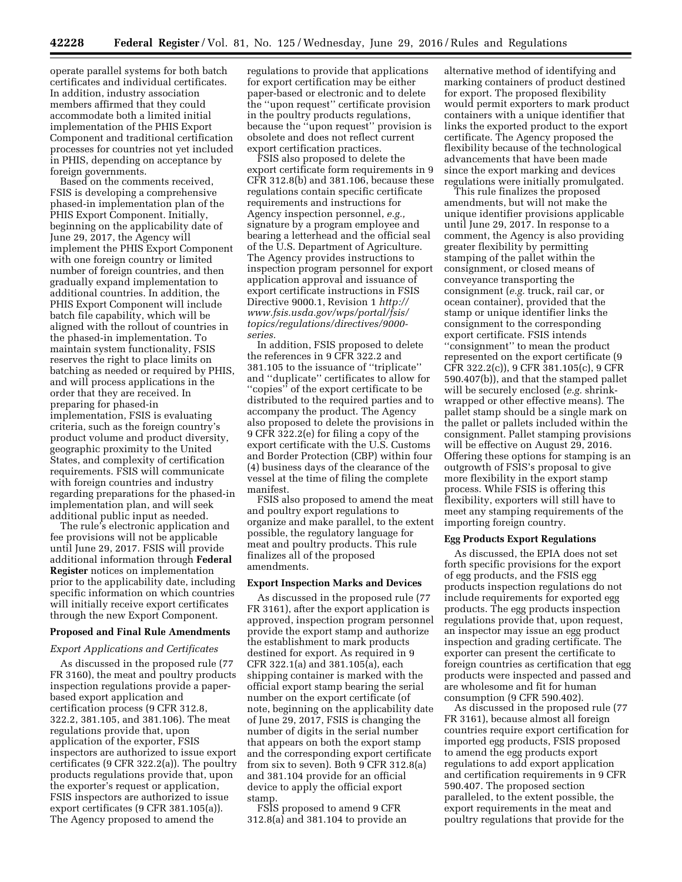operate parallel systems for both batch certificates and individual certificates. In addition, industry association members affirmed that they could accommodate both a limited initial implementation of the PHIS Export Component and traditional certification processes for countries not yet included in PHIS, depending on acceptance by foreign governments.

Based on the comments received, FSIS is developing a comprehensive phased-in implementation plan of the PHIS Export Component. Initially, beginning on the applicability date of June 29, 2017, the Agency will implement the PHIS Export Component with one foreign country or limited number of foreign countries, and then gradually expand implementation to additional countries. In addition, the PHIS Export Component will include batch file capability, which will be aligned with the rollout of countries in the phased-in implementation. To maintain system functionality, FSIS reserves the right to place limits on batching as needed or required by PHIS, and will process applications in the order that they are received. In preparing for phased-in implementation, FSIS is evaluating criteria, such as the foreign country's product volume and product diversity, geographic proximity to the United States, and complexity of certification requirements. FSIS will communicate with foreign countries and industry regarding preparations for the phased-in implementation plan, and will seek additional public input as needed.

The rule's electronic application and fee provisions will not be applicable until June 29, 2017. FSIS will provide additional information through **Federal Register** notices on implementation prior to the applicability date, including specific information on which countries will initially receive export certificates through the new Export Component.

#### **Proposed and Final Rule Amendments**

### *Export Applications and Certificates*

As discussed in the proposed rule (77 FR 3160), the meat and poultry products inspection regulations provide a paperbased export application and certification process (9 CFR 312.8, 322.2, 381.105, and 381.106). The meat regulations provide that, upon application of the exporter, FSIS inspectors are authorized to issue export certificates (9 CFR 322.2(a)). The poultry products regulations provide that, upon the exporter's request or application, FSIS inspectors are authorized to issue export certificates (9 CFR 381.105(a)). The Agency proposed to amend the

regulations to provide that applications for export certification may be either paper-based or electronic and to delete the ''upon request'' certificate provision in the poultry products regulations, because the ''upon request'' provision is obsolete and does not reflect current export certification practices.

FSIS also proposed to delete the export certificate form requirements in 9 CFR 312.8(b) and 381.106, because these regulations contain specific certificate requirements and instructions for Agency inspection personnel, *e.g.,*  signature by a program employee and bearing a letterhead and the official seal of the U.S. Department of Agriculture. The Agency provides instructions to inspection program personnel for export application approval and issuance of export certificate instructions in FSIS Directive 9000.1, Revision 1 *[http://](http://www.fsis.usda.gov/wps/portal/fsis/topics/regulations/directives/9000-series) [www.fsis.usda.gov/wps/portal/fsis/](http://www.fsis.usda.gov/wps/portal/fsis/topics/regulations/directives/9000-series) [topics/regulations/directives/9000](http://www.fsis.usda.gov/wps/portal/fsis/topics/regulations/directives/9000-series) [series.](http://www.fsis.usda.gov/wps/portal/fsis/topics/regulations/directives/9000-series)* 

In addition, FSIS proposed to delete the references in 9 CFR 322.2 and 381.105 to the issuance of ''triplicate'' and ''duplicate'' certificates to allow for ''copies'' of the export certificate to be distributed to the required parties and to accompany the product. The Agency also proposed to delete the provisions in 9 CFR 322.2(e) for filing a copy of the export certificate with the U.S. Customs and Border Protection (CBP) within four (4) business days of the clearance of the vessel at the time of filing the complete manifest.

FSIS also proposed to amend the meat and poultry export regulations to organize and make parallel, to the extent possible, the regulatory language for meat and poultry products. This rule finalizes all of the proposed amendments.

#### **Export Inspection Marks and Devices**

As discussed in the proposed rule (77 FR 3161), after the export application is approved, inspection program personnel provide the export stamp and authorize the establishment to mark products destined for export. As required in 9 CFR 322.1(a) and 381.105(a), each shipping container is marked with the official export stamp bearing the serial number on the export certificate (of note, beginning on the applicability date of June 29, 2017, FSIS is changing the number of digits in the serial number that appears on both the export stamp and the corresponding export certificate from six to seven). Both 9 CFR 312.8(a) and 381.104 provide for an official device to apply the official export stamp.

FSIS proposed to amend 9 CFR 312.8(a) and 381.104 to provide an

alternative method of identifying and marking containers of product destined for export. The proposed flexibility would permit exporters to mark product containers with a unique identifier that links the exported product to the export certificate. The Agency proposed the flexibility because of the technological advancements that have been made since the export marking and devices regulations were initially promulgated.

This rule finalizes the proposed amendments, but will not make the unique identifier provisions applicable until June 29, 2017. In response to a comment, the Agency is also providing greater flexibility by permitting stamping of the pallet within the consignment, or closed means of conveyance transporting the consignment (*e.g.* truck, rail car, or ocean container), provided that the stamp or unique identifier links the consignment to the corresponding export certificate. FSIS intends ''consignment'' to mean the product represented on the export certificate (9 CFR 322.2(c)), 9 CFR 381.105(c), 9 CFR 590.407(b)), and that the stamped pallet will be securely enclosed (*e.g.* shrinkwrapped or other effective means). The pallet stamp should be a single mark on the pallet or pallets included within the consignment. Pallet stamping provisions will be effective on August 29, 2016. Offering these options for stamping is an outgrowth of FSIS's proposal to give more flexibility in the export stamp process. While FSIS is offering this flexibility, exporters will still have to meet any stamping requirements of the importing foreign country.

# **Egg Products Export Regulations**

As discussed, the EPIA does not set forth specific provisions for the export of egg products, and the FSIS egg products inspection regulations do not include requirements for exported egg products. The egg products inspection regulations provide that, upon request, an inspector may issue an egg product inspection and grading certificate. The exporter can present the certificate to foreign countries as certification that egg products were inspected and passed and are wholesome and fit for human consumption (9 CFR 590.402).

As discussed in the proposed rule (77 FR 3161), because almost all foreign countries require export certification for imported egg products, FSIS proposed to amend the egg products export regulations to add export application and certification requirements in 9 CFR 590.407. The proposed section paralleled, to the extent possible, the export requirements in the meat and poultry regulations that provide for the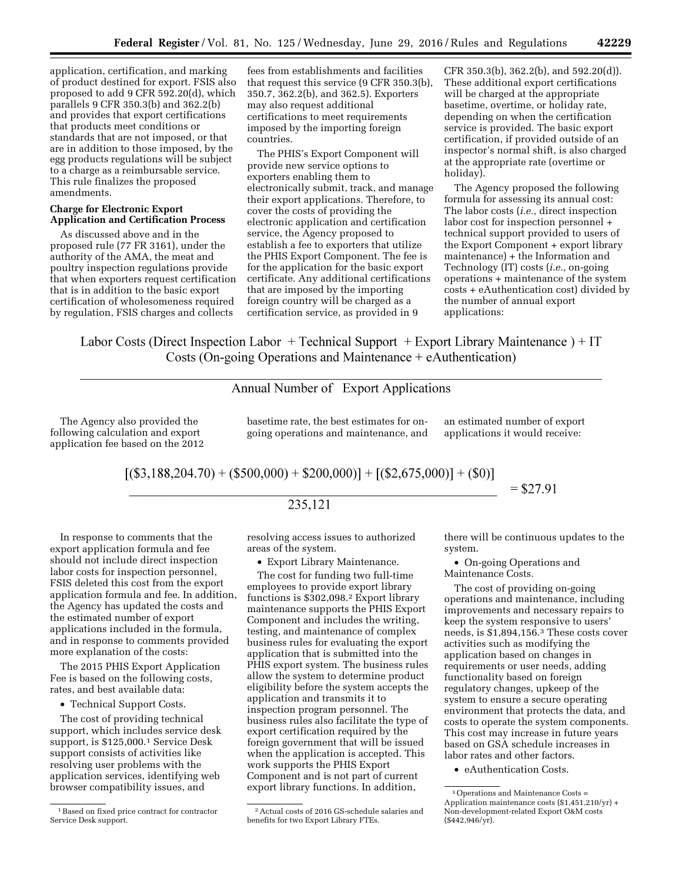application, certification, and marking of product destined for export. FSIS also proposed to add 9 CFR 592.20(d), which parallels 9 CFR 350.3(b) and 362.2(b) and provides that export certifications that products meet conditions or standards that are not imposed, or that are in addition to those imposed, by the egg products regulations will be subject to a charge as a reimbursable service. This rule finalizes the proposed amendments.

# **Charge for Electronic Export Application and Certification Process**

As discussed above and in the proposed rule (77 FR 3161), under the authority of the AMA, the meat and poultry inspection regulations provide that when exporters request certification that is in addition to the basic export certification of wholesomeness required by regulation, FSIS charges and collects

fees from establishments and facilities that request this service (9 CFR 350.3(b), 350.7, 362.2(b), and 362.5). Exporters may also request additional certifications to meet requirements imposed by the importing foreign countries.

The PHIS's Export Component will provide new service options to exporters enabling them to electronically submit, track, and manage their export applications. Therefore, to cover the costs of providing the electronic application and certification service, the Agency proposed to establish a fee to exporters that utilize the PHIS Export Component. The fee is for the application for the basic export certificate. Any additional certifications that are imposed by the importing foreign country will be charged as a certification service, as provided in 9

CFR 350.3(b), 362.2(b), and 592.20(d)). These additional export certifications will be charged at the appropriate basetime, overtime, or holiday rate, depending on when the certification service is provided. The basic export certification, if provided outside of an inspector's normal shift, is also charged at the appropriate rate (overtime or holiday).

The Agency proposed the following formula for assessing its annual cost: The labor costs (*i.e.,* direct inspection labor cost for inspection personnel + technical support provided to users of the Export Component + export library maintenance) + the Information and Technology (IT) costs (*i.e.,* on-going operations + maintenance of the system costs + eAuthentication cost) divided by the number of annual export applications:

Labor Costs (Direct Inspection Labor + Technical Support + Export Library Maintenance) + IT Costs (On-going Operations and Maintenance  $+$  eAuthentication)

# Annual Number of Export Applications

The Agency also provided the following calculation and export application fee based on the 2012

basetime rate, the best estimates for ongoing operations and maintenance, and an estimated number of export applications it would receive:

$$
[(\$3,188,204.70) + (\$500,000) + \$200,000)] + [(\$2,675,000)] + (\$0)]
$$
  
= \\$27.91

# 235,121

In response to comments that the export application formula and fee should not include direct inspection labor costs for inspection personnel, FSIS deleted this cost from the export application formula and fee. In addition, the Agency has updated the costs and the estimated number of export applications included in the formula, and in response to comments provided more explanation of the costs:

The 2015 PHIS Export Application Fee is based on the following costs, rates, and best available data:

• Technical Support Costs.

The cost of providing technical support, which includes service desk support, is \$125,000.1 Service Desk support consists of activities like resolving user problems with the application services, identifying web browser compatibility issues, and

resolving access issues to authorized areas of the system.

• Export Library Maintenance.

The cost for funding two full-time employees to provide export library functions is \$302,098.2 Export library maintenance supports the PHIS Export Component and includes the writing, testing, and maintenance of complex business rules for evaluating the export application that is submitted into the PHIS export system. The business rules allow the system to determine product eligibility before the system accepts the application and transmits it to inspection program personnel. The business rules also facilitate the type of export certification required by the foreign government that will be issued when the application is accepted. This work supports the PHIS Export Component and is not part of current export library functions. In addition,

there will be continuous updates to the system.

• On-going Operations and Maintenance Costs.

The cost of providing on-going operations and maintenance, including improvements and necessary repairs to keep the system responsive to users' needs, is \$1,894,156.3 These costs cover activities such as modifying the application based on changes in requirements or user needs, adding functionality based on foreign regulatory changes, upkeep of the system to ensure a secure operating environment that protects the data, and costs to operate the system components. This cost may increase in future years based on GSA schedule increases in labor rates and other factors.

<sup>1</sup>Based on fixed price contract for contractor Service Desk support.

<sup>2</sup>Actual costs of 2016 GS-schedule salaries and benefits for two Export Library FTEs.

<sup>•</sup> eAuthentication Costs.

<sup>3</sup>Operations and Maintenance Costs = Application maintenance costs (\$1,451,210/yr) + Non-development-related Export O&M costs (\$442,946/yr).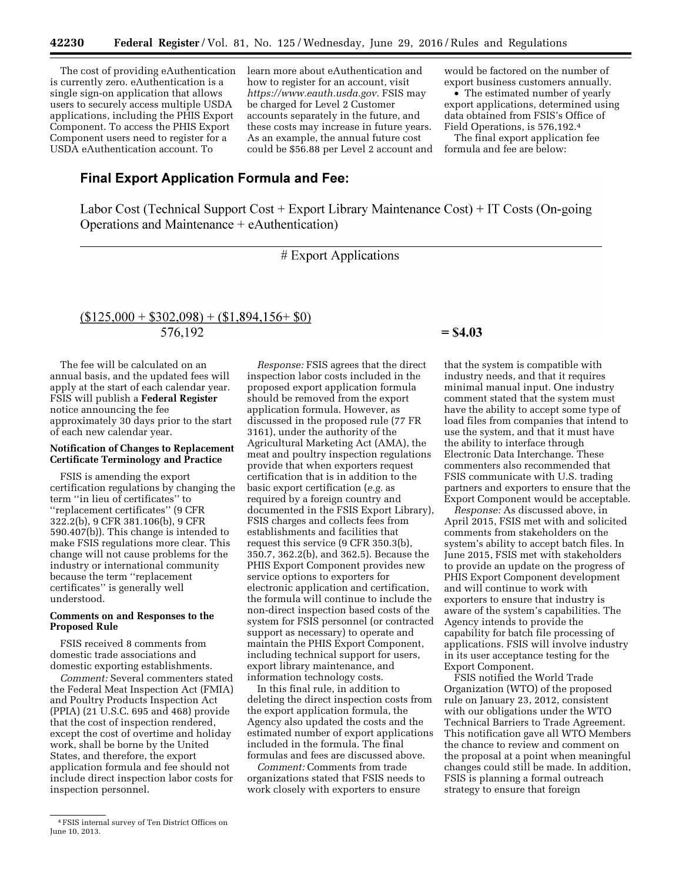The cost of providing eAuthentication is currently zero. eAuthentication is a single sign-on application that allows users to securely access multiple USDA applications, including the PHIS Export Component. To access the PHIS Export Component users need to register for a USDA eAuthentication account. To

learn more about eAuthentication and how to register for an account, visit *[https://www.eauth.usda.gov.](https://www.eauth.usda.gov)* FSIS may be charged for Level 2 Customer accounts separately in the future, and these costs may increase in future years. As an example, the annual future cost could be \$56.88 per Level 2 account and

would be factored on the number of export business customers annually.

• The estimated number of yearly export applications, determined using data obtained from FSIS's Office of Field Operations, is 576,192.4

The final export application fee formula and fee are below:

# **Final Export Application Formula and Fee:**

Labor Cost (Technical Support Cost + Export Library Maintenance Cost) + IT Costs (On-going Operations and Maintenance  $+$  eAuthentication)

# Export Applications

# $\underline{\text{($125,000 + $302,098) + ($1,894,156 + $0)}$ 576.192

The fee will be calculated on an annual basis, and the updated fees will apply at the start of each calendar year. FSIS will publish a **Federal Register**  notice announcing the fee approximately 30 days prior to the start of each new calendar year.

# **Notification of Changes to Replacement Certificate Terminology and Practice**

FSIS is amending the export certification regulations by changing the term ''in lieu of certificates'' to ''replacement certificates'' (9 CFR 322.2(b), 9 CFR 381.106(b), 9 CFR 590.407(b)). This change is intended to make FSIS regulations more clear. This change will not cause problems for the industry or international community because the term ''replacement certificates'' is generally well understood.

# **Comments on and Responses to the Proposed Rule**

FSIS received 8 comments from domestic trade associations and domestic exporting establishments.

*Comment:* Several commenters stated the Federal Meat Inspection Act (FMIA) and Poultry Products Inspection Act (PPIA) (21 U.S.C. 695 and 468) provide that the cost of inspection rendered, except the cost of overtime and holiday work, shall be borne by the United States, and therefore, the export application formula and fee should not include direct inspection labor costs for inspection personnel.

*Response:* FSIS agrees that the direct inspection labor costs included in the proposed export application formula should be removed from the export application formula. However, as discussed in the proposed rule (77 FR 3161), under the authority of the Agricultural Marketing Act (AMA), the meat and poultry inspection regulations provide that when exporters request certification that is in addition to the basic export certification (*e.g.* as required by a foreign country and documented in the FSIS Export Library), FSIS charges and collects fees from establishments and facilities that request this service (9 CFR 350.3(b), 350.7, 362.2(b), and 362.5). Because the PHIS Export Component provides new service options to exporters for electronic application and certification, the formula will continue to include the non-direct inspection based costs of the system for FSIS personnel (or contracted support as necessary) to operate and maintain the PHIS Export Component, including technical support for users, export library maintenance, and information technology costs.

In this final rule, in addition to deleting the direct inspection costs from the export application formula, the Agency also updated the costs and the estimated number of export applications included in the formula. The final formulas and fees are discussed above.

*Comment:* Comments from trade organizations stated that FSIS needs to work closely with exporters to ensure

# $=$  \$4.03

that the system is compatible with industry needs, and that it requires minimal manual input. One industry comment stated that the system must have the ability to accept some type of load files from companies that intend to use the system, and that it must have the ability to interface through Electronic Data Interchange. These commenters also recommended that FSIS communicate with U.S. trading partners and exporters to ensure that the Export Component would be acceptable.

*Response:* As discussed above, in April 2015, FSIS met with and solicited comments from stakeholders on the system's ability to accept batch files. In June 2015, FSIS met with stakeholders to provide an update on the progress of PHIS Export Component development and will continue to work with exporters to ensure that industry is aware of the system's capabilities. The Agency intends to provide the capability for batch file processing of applications. FSIS will involve industry in its user acceptance testing for the Export Component.

FSIS notified the World Trade Organization (WTO) of the proposed rule on January 23, 2012, consistent with our obligations under the WTO Technical Barriers to Trade Agreement. This notification gave all WTO Members the chance to review and comment on the proposal at a point when meaningful changes could still be made. In addition, FSIS is planning a formal outreach strategy to ensure that foreign

<sup>4</sup>FSIS internal survey of Ten District Offices on June 10, 2013.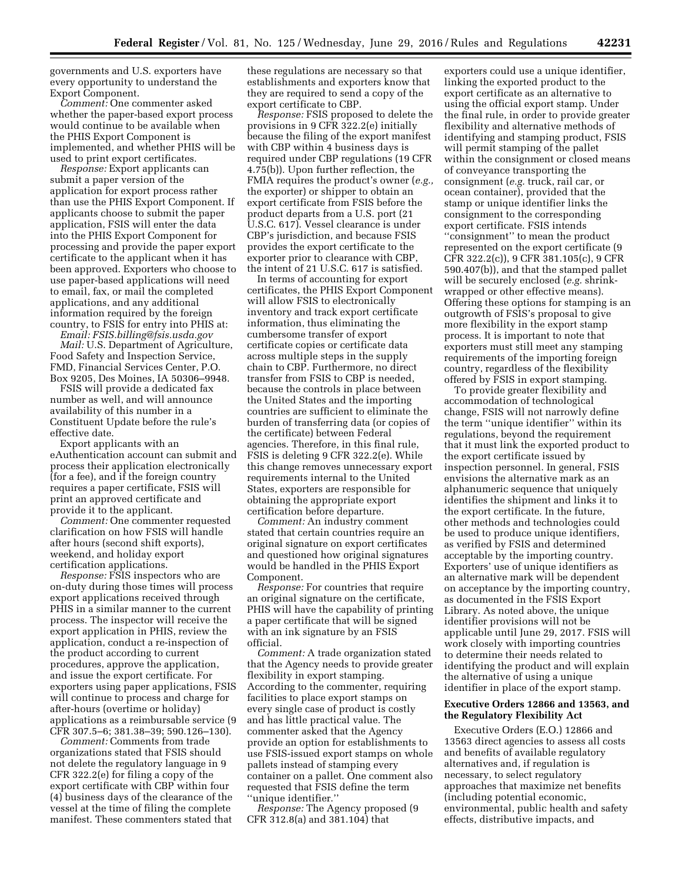governments and U.S. exporters have every opportunity to understand the Export Component.

*Comment:* One commenter asked whether the paper-based export process would continue to be available when the PHIS Export Component is implemented, and whether PHIS will be used to print export certificates.

*Response:* Export applicants can submit a paper version of the application for export process rather than use the PHIS Export Component. If applicants choose to submit the paper application, FSIS will enter the data into the PHIS Export Component for processing and provide the paper export certificate to the applicant when it has been approved. Exporters who choose to use paper-based applications will need to email, fax, or mail the completed applications, and any additional information required by the foreign country, to FSIS for entry into PHIS at:

*Email: [FSIS.billing@fsis.usda.gov](mailto:FSIS.billing@fsis.usda.gov) Mail:* U.S. Department of Agriculture, Food Safety and Inspection Service, FMD, Financial Services Center, P.O. Box 9205, Des Moines, IA 50306–9948.

FSIS will provide a dedicated fax number as well, and will announce availability of this number in a Constituent Update before the rule's effective date.

Export applicants with an eAuthentication account can submit and process their application electronically (for a fee), and if the foreign country requires a paper certificate, FSIS will print an approved certificate and provide it to the applicant.

*Comment:* One commenter requested clarification on how FSIS will handle after hours (second shift exports), weekend, and holiday export certification applications.

*Response:* FSIS inspectors who are on-duty during those times will process export applications received through PHIS in a similar manner to the current process. The inspector will receive the export application in PHIS, review the application, conduct a re-inspection of the product according to current procedures, approve the application, and issue the export certificate. For exporters using paper applications, FSIS will continue to process and charge for after-hours (overtime or holiday) applications as a reimbursable service (9 CFR 307.5–6; 381.38–39; 590.126–130).

*Comment:* Comments from trade organizations stated that FSIS should not delete the regulatory language in 9 CFR 322.2(e) for filing a copy of the export certificate with CBP within four (4) business days of the clearance of the vessel at the time of filing the complete manifest. These commenters stated that

these regulations are necessary so that establishments and exporters know that they are required to send a copy of the export certificate to CBP.

*Response:* FSIS proposed to delete the provisions in 9 CFR 322.2(e) initially because the filing of the export manifest with CBP within 4 business days is required under CBP regulations (19 CFR 4.75(b)). Upon further reflection, the FMIA requires the product's owner (*e.g.,*  the exporter) or shipper to obtain an export certificate from FSIS before the product departs from a U.S. port (21 U.S.C. 617). Vessel clearance is under CBP's jurisdiction, and because FSIS provides the export certificate to the exporter prior to clearance with CBP the intent of 21 U.S.C. 617 is satisfied.

In terms of accounting for export certificates, the PHIS Export Component will allow FSIS to electronically inventory and track export certificate information, thus eliminating the cumbersome transfer of export certificate copies or certificate data across multiple steps in the supply chain to CBP. Furthermore, no direct transfer from FSIS to CBP is needed, because the controls in place between the United States and the importing countries are sufficient to eliminate the burden of transferring data (or copies of the certificate) between Federal agencies. Therefore, in this final rule, FSIS is deleting 9 CFR 322.2(e). While this change removes unnecessary export requirements internal to the United States, exporters are responsible for obtaining the appropriate export certification before departure.

*Comment:* An industry comment stated that certain countries require an original signature on export certificates and questioned how original signatures would be handled in the PHIS Export Component.

*Response:* For countries that require an original signature on the certificate, PHIS will have the capability of printing a paper certificate that will be signed with an ink signature by an FSIS official.

*Comment:* A trade organization stated that the Agency needs to provide greater flexibility in export stamping. According to the commenter, requiring facilities to place export stamps on every single case of product is costly and has little practical value. The commenter asked that the Agency provide an option for establishments to use FSIS-issued export stamps on whole pallets instead of stamping every container on a pallet. One comment also requested that FSIS define the term ''unique identifier.''

*Response:* The Agency proposed (9 CFR 312.8(a) and 381.104) that

exporters could use a unique identifier, linking the exported product to the export certificate as an alternative to using the official export stamp. Under the final rule, in order to provide greater flexibility and alternative methods of identifying and stamping product, FSIS will permit stamping of the pallet within the consignment or closed means of conveyance transporting the consignment (*e.g.* truck, rail car, or ocean container), provided that the stamp or unique identifier links the consignment to the corresponding export certificate. FSIS intends ''consignment'' to mean the product represented on the export certificate (9 CFR 322.2(c)), 9 CFR 381.105(c), 9 CFR 590.407(b)), and that the stamped pallet will be securely enclosed (*e.g.* shrinkwrapped or other effective means). Offering these options for stamping is an outgrowth of FSIS's proposal to give more flexibility in the export stamp process. It is important to note that exporters must still meet any stamping requirements of the importing foreign country, regardless of the flexibility offered by FSIS in export stamping.

To provide greater flexibility and accommodation of technological change, FSIS will not narrowly define the term ''unique identifier'' within its regulations, beyond the requirement that it must link the exported product to the export certificate issued by inspection personnel. In general, FSIS envisions the alternative mark as an alphanumeric sequence that uniquely identifies the shipment and links it to the export certificate. In the future, other methods and technologies could be used to produce unique identifiers, as verified by FSIS and determined acceptable by the importing country. Exporters' use of unique identifiers as an alternative mark will be dependent on acceptance by the importing country, as documented in the FSIS Export Library. As noted above, the unique identifier provisions will not be applicable until June 29, 2017. FSIS will work closely with importing countries to determine their needs related to identifying the product and will explain the alternative of using a unique identifier in place of the export stamp.

# **Executive Orders 12866 and 13563, and the Regulatory Flexibility Act**

Executive Orders (E.O.) 12866 and 13563 direct agencies to assess all costs and benefits of available regulatory alternatives and, if regulation is necessary, to select regulatory approaches that maximize net benefits (including potential economic, environmental, public health and safety effects, distributive impacts, and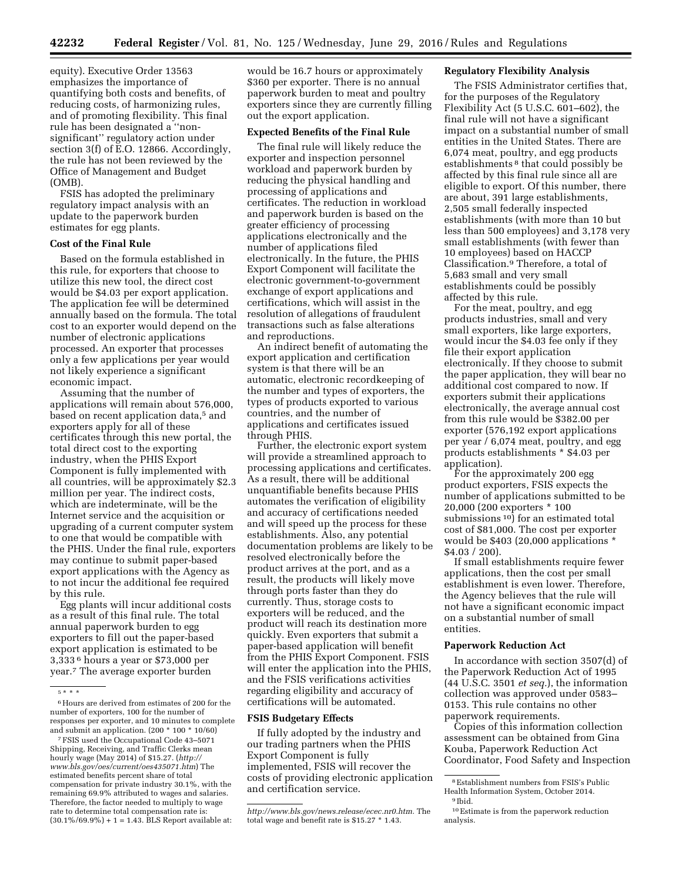equity). Executive Order 13563 emphasizes the importance of quantifying both costs and benefits, of reducing costs, of harmonizing rules, and of promoting flexibility. This final rule has been designated a ''nonsignificant'' regulatory action under section 3(f) of E.O. 12866. Accordingly, the rule has not been reviewed by the Office of Management and Budget (OMB).

FSIS has adopted the preliminary regulatory impact analysis with an update to the paperwork burden estimates for egg plants.

# **Cost of the Final Rule**

Based on the formula established in this rule, for exporters that choose to utilize this new tool, the direct cost would be \$4.03 per export application. The application fee will be determined annually based on the formula. The total cost to an exporter would depend on the number of electronic applications processed. An exporter that processes only a few applications per year would not likely experience a significant economic impact.

Assuming that the number of applications will remain about 576,000, based on recent application data,<sup>5</sup> and exporters apply for all of these certificates through this new portal, the total direct cost to the exporting industry, when the PHIS Export Component is fully implemented with all countries, will be approximately \$2.3 million per year. The indirect costs, which are indeterminate, will be the Internet service and the acquisition or upgrading of a current computer system to one that would be compatible with the PHIS. Under the final rule, exporters may continue to submit paper-based export applications with the Agency as to not incur the additional fee required by this rule.

Egg plants will incur additional costs as a result of this final rule. The total annual paperwork burden to egg exporters to fill out the paper-based export application is estimated to be 3,333 6 hours a year or \$73,000 per year.7 The average exporter burden

7FSIS used the Occupational Code 43–5071 Shipping, Receiving, and Traffic Clerks mean hourly wage (May 2014) of \$15.27. (*[http://](http://www.bls.gov/oes/current/oes435071.htm) [www.bls.gov/oes/current/oes435071.htm](http://www.bls.gov/oes/current/oes435071.htm)*) The estimated benefits percent share of total compensation for private industry 30.1%, with the remaining 69.9% attributed to wages and salaries. Therefore, the factor needed to multiply to wage rate to determine total compensation rate is:  $(30.1\%/69.9\%) + 1 = 1.43.$  BLS Report available at: would be 16.7 hours or approximately \$360 per exporter. There is no annual paperwork burden to meat and poultry exporters since they are currently filling out the export application.

## **Expected Benefits of the Final Rule**

The final rule will likely reduce the exporter and inspection personnel workload and paperwork burden by reducing the physical handling and processing of applications and certificates. The reduction in workload and paperwork burden is based on the greater efficiency of processing applications electronically and the number of applications filed electronically. In the future, the PHIS Export Component will facilitate the electronic government-to-government exchange of export applications and certifications, which will assist in the resolution of allegations of fraudulent transactions such as false alterations and reproductions.

An indirect benefit of automating the export application and certification system is that there will be an automatic, electronic recordkeeping of the number and types of exporters, the types of products exported to various countries, and the number of applications and certificates issued through PHIS.

Further, the electronic export system will provide a streamlined approach to processing applications and certificates. As a result, there will be additional unquantifiable benefits because PHIS automates the verification of eligibility and accuracy of certifications needed and will speed up the process for these establishments. Also, any potential documentation problems are likely to be resolved electronically before the product arrives at the port, and as a result, the products will likely move through ports faster than they do currently. Thus, storage costs to exporters will be reduced, and the product will reach its destination more quickly. Even exporters that submit a paper-based application will benefit from the PHIS Export Component. FSIS will enter the application into the PHIS, and the FSIS verifications activities regarding eligibility and accuracy of certifications will be automated.

#### **FSIS Budgetary Effects**

If fully adopted by the industry and our trading partners when the PHIS Export Component is fully implemented, FSIS will recover the costs of providing electronic application and certification service.

### **Regulatory Flexibility Analysis**

The FSIS Administrator certifies that, for the purposes of the Regulatory Flexibility Act (5 U.S.C. 601–602), the final rule will not have a significant impact on a substantial number of small entities in the United States. There are 6,074 meat, poultry, and egg products establishments<sup>8</sup> that could possibly be affected by this final rule since all are eligible to export. Of this number, there are about, 391 large establishments, 2,505 small federally inspected establishments (with more than 10 but less than 500 employees) and 3,178 very small establishments (with fewer than 10 employees) based on HACCP Classification.9 Therefore, a total of 5,683 small and very small establishments could be possibly affected by this rule.

For the meat, poultry, and egg products industries, small and very small exporters, like large exporters, would incur the \$4.03 fee only if they file their export application electronically. If they choose to submit the paper application, they will bear no additional cost compared to now. If exporters submit their applications electronically, the average annual cost from this rule would be \$382.00 per exporter (576,192 export applications per year / 6,074 meat, poultry, and egg products establishments \* \$4.03 per application).

For the approximately 200 egg product exporters, FSIS expects the number of applications submitted to be 20,000 (200 exporters \* 100 submissions  $10$ ] for an estimated total cost of \$81,000. The cost per exporter would be \$403 (20,000 applications \* \$4.03 / 200).

If small establishments require fewer applications, then the cost per small establishment is even lower. Therefore, the Agency believes that the rule will not have a significant economic impact on a substantial number of small entities.

#### **Paperwork Reduction Act**

In accordance with section 3507(d) of the Paperwork Reduction Act of 1995 (44 U.S.C. 3501 *et seq.*), the information collection was approved under 0583– 0153. This rule contains no other paperwork requirements.

Copies of this information collection assessment can be obtained from Gina Kouba, Paperwork Reduction Act Coordinator, Food Safety and Inspection

<sup>5</sup> \* \* \*

<sup>6</sup>Hours are derived from estimates of 200 for the number of exporters, 100 for the number of responses per exporter, and 10 minutes to complete and submit an application. (200  $*$  100  $*$  10/60)

*[http://www.bls.gov/news.release/ecec.nr0.htm.](http://www.bls.gov/news.release/ecec.nr0.htm)* The total wage and benefit rate is \$15.27 \* 1.43.

<sup>8</sup>Establishment numbers from FSIS's Public Health Information System, October 2014. 9 Ibid.

<sup>10</sup>Estimate is from the paperwork reduction analysis.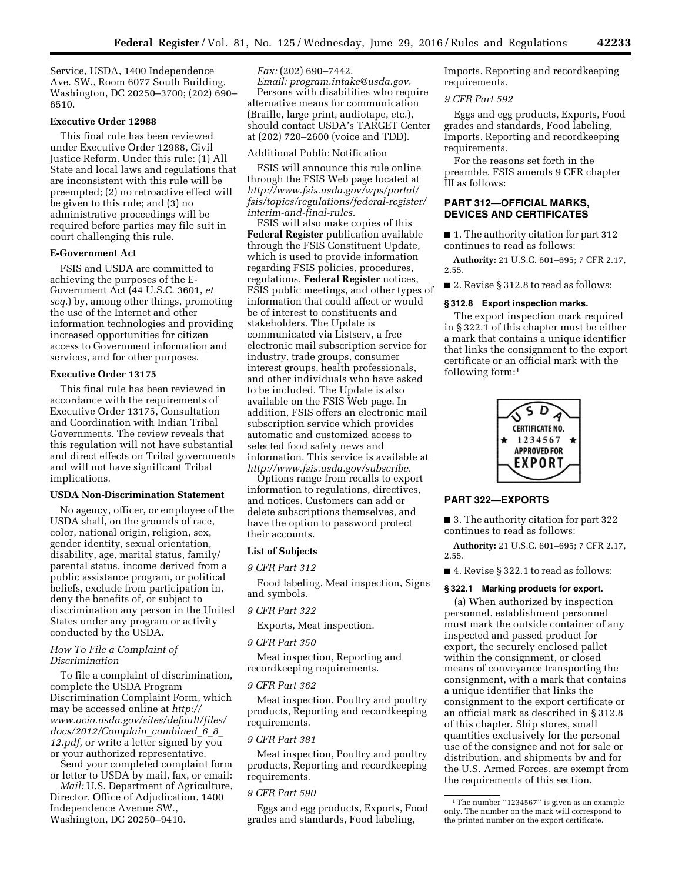Service, USDA, 1400 Independence Ave. SW., Room 6077 South Building, Washington, DC 20250–3700; (202) 690– 6510.

# **Executive Order 12988**

This final rule has been reviewed under Executive Order 12988, Civil Justice Reform. Under this rule: (1) All State and local laws and regulations that are inconsistent with this rule will be preempted; (2) no retroactive effect will be given to this rule; and (3) no administrative proceedings will be required before parties may file suit in court challenging this rule.

## **E-Government Act**

FSIS and USDA are committed to achieving the purposes of the E-Government Act (44 U.S.C. 3601, *et seq.*) by, among other things, promoting the use of the Internet and other information technologies and providing increased opportunities for citizen access to Government information and services, and for other purposes.

#### **Executive Order 13175**

This final rule has been reviewed in accordance with the requirements of Executive Order 13175, Consultation and Coordination with Indian Tribal Governments. The review reveals that this regulation will not have substantial and direct effects on Tribal governments and will not have significant Tribal implications.

#### **USDA Non-Discrimination Statement**

No agency, officer, or employee of the USDA shall, on the grounds of race, color, national origin, religion, sex, gender identity, sexual orientation, disability, age, marital status, family/ parental status, income derived from a public assistance program, or political beliefs, exclude from participation in, deny the benefits of, or subject to discrimination any person in the United States under any program or activity conducted by the USDA.

#### *How To File a Complaint of Discrimination*

To file a complaint of discrimination, complete the USDA Program Discrimination Complaint Form, which may be accessed online at *[http://](http://www.ocio.usda.gov/sites/default/files/docs/2012/Complain_combined_6_8_12.pdf) [www.ocio.usda.gov/sites/default/files/](http://www.ocio.usda.gov/sites/default/files/docs/2012/Complain_combined_6_8_12.pdf) [docs/2012/Complain](http://www.ocio.usda.gov/sites/default/files/docs/2012/Complain_combined_6_8_12.pdf)*\_*combined*\_*6*\_*8*\_ *[12.pdf,](http://www.ocio.usda.gov/sites/default/files/docs/2012/Complain_combined_6_8_12.pdf)* or write a letter signed by you or your authorized representative.

Send your completed complaint form or letter to USDA by mail, fax, or email:

*Mail:* U.S. Department of Agriculture, Director, Office of Adjudication, 1400 Independence Avenue SW., Washington, DC 20250–9410.

*Fax:* (202) 690–7442. *Email: [program.intake@usda.gov.](mailto:program.intake@usda.gov)*  Persons with disabilities who require alternative means for communication (Braille, large print, audiotape, etc.), should contact USDA's TARGET Center at (202) 720–2600 (voice and TDD).

# Additional Public Notification

FSIS will announce this rule online through the FSIS Web page located at *[http://www.fsis.usda.gov/wps/portal/](http://www.fsis.usda.gov/wps/portal/fsis/topics/regulations/federal-register/interim-and-final-rules) [fsis/topics/regulations/federal-register/](http://www.fsis.usda.gov/wps/portal/fsis/topics/regulations/federal-register/interim-and-final-rules)  [interim-and-final-rules.](http://www.fsis.usda.gov/wps/portal/fsis/topics/regulations/federal-register/interim-and-final-rules)* 

FSIS will also make copies of this **Federal Register** publication available through the FSIS Constituent Update, which is used to provide information regarding FSIS policies, procedures, regulations, **Federal Register** notices, FSIS public meetings, and other types of information that could affect or would be of interest to constituents and stakeholders. The Update is communicated via Listserv, a free electronic mail subscription service for industry, trade groups, consumer interest groups, health professionals, and other individuals who have asked to be included. The Update is also available on the FSIS Web page. In addition, FSIS offers an electronic mail subscription service which provides automatic and customized access to selected food safety news and information. This service is available at *[http://www.fsis.usda.gov/subscribe.](http://www.fsis.usda.gov/subscribe)* 

Options range from recalls to export information to regulations, directives, and notices. Customers can add or delete subscriptions themselves, and have the option to password protect their accounts.

## **List of Subjects**

### *9 CFR Part 312*

Food labeling, Meat inspection, Signs and symbols.

# *9 CFR Part 322*

Exports, Meat inspection.

#### *9 CFR Part 350*

Meat inspection, Reporting and recordkeeping requirements.

#### *9 CFR Part 362*

Meat inspection, Poultry and poultry products, Reporting and recordkeeping requirements.

### *9 CFR Part 381*

Meat inspection, Poultry and poultry products, Reporting and recordkeeping requirements.

# *9 CFR Part 590*

Eggs and egg products, Exports, Food grades and standards, Food labeling,

Imports, Reporting and recordkeeping requirements.

### *9 CFR Part 592*

Eggs and egg products, Exports, Food grades and standards, Food labeling, Imports, Reporting and recordkeeping requirements.

For the reasons set forth in the preamble, FSIS amends 9 CFR chapter III as follows:

# **PART 312—OFFICIAL MARKS, DEVICES AND CERTIFICATES**

■ 1. The authority citation for part 312 continues to read as follows:

**Authority:** 21 U.S.C. 601–695; 7 CFR 2.17, 2.55.

■ 2. Revise § 312.8 to read as follows:

### **§ 312.8 Export inspection marks.**

The export inspection mark required in § 322.1 of this chapter must be either a mark that contains a unique identifier that links the consignment to the export certificate or an official mark with the following form:1



### **PART 322—EXPORTS**

■ 3. The authority citation for part 322 continues to read as follows:

**Authority:** 21 U.S.C. 601–695; 7 CFR 2.17, 2.55.

■ 4. Revise § 322.1 to read as follows:

### **§ 322.1 Marking products for export.**

(a) When authorized by inspection personnel, establishment personnel must mark the outside container of any inspected and passed product for export, the securely enclosed pallet within the consignment, or closed means of conveyance transporting the consignment, with a mark that contains a unique identifier that links the consignment to the export certificate or an official mark as described in § 312.8 of this chapter. Ship stores, small quantities exclusively for the personal use of the consignee and not for sale or distribution, and shipments by and for the U.S. Armed Forces, are exempt from the requirements of this section.

<sup>&</sup>lt;sup>1</sup>The number "1234567" is given as an example only. The number on the mark will correspond to the printed number on the export certificate.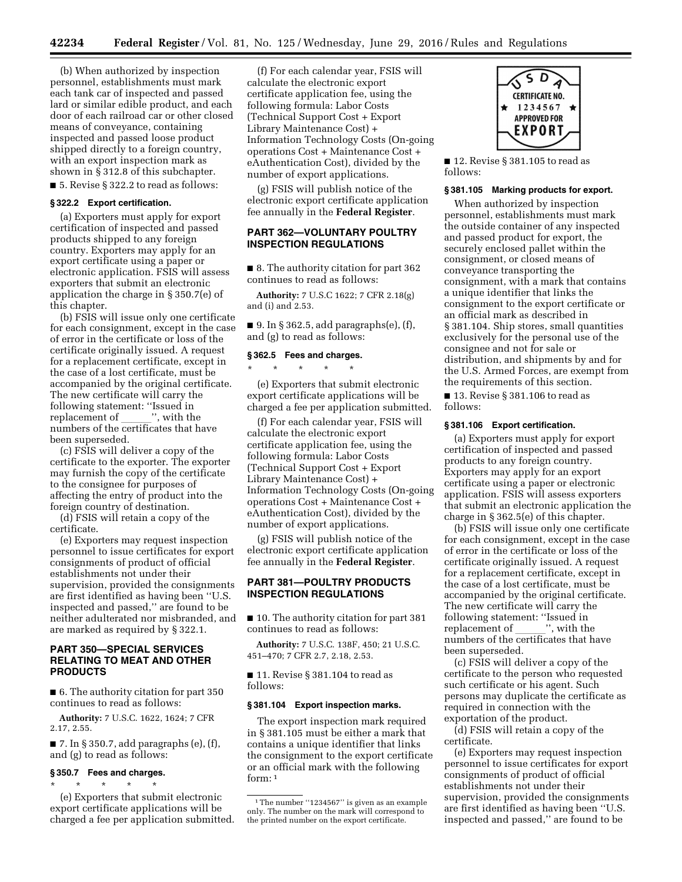(b) When authorized by inspection personnel, establishments must mark each tank car of inspected and passed lard or similar edible product, and each door of each railroad car or other closed means of conveyance, containing inspected and passed loose product shipped directly to a foreign country, with an export inspection mark as shown in § 312.8 of this subchapter.

■ 5. Revise § 322.2 to read as follows:

# **§ 322.2 Export certification.**

(a) Exporters must apply for export certification of inspected and passed products shipped to any foreign country. Exporters may apply for an export certificate using a paper or electronic application. FSIS will assess exporters that submit an electronic application the charge in § 350.7(e) of this chapter.

(b) FSIS will issue only one certificate for each consignment, except in the case of error in the certificate or loss of the certificate originally issued. A request for a replacement certificate, except in the case of a lost certificate, must be accompanied by the original certificate. The new certificate will carry the following statement: ''Issued in replacement of \_\_\_\_\_\_'', with the<br>numbers of the certificates that ha numbers of the certificates that have been superseded.

(c) FSIS will deliver a copy of the certificate to the exporter. The exporter may furnish the copy of the certificate to the consignee for purposes of affecting the entry of product into the foreign country of destination.

(d) FSIS will retain a copy of the certificate.

(e) Exporters may request inspection personnel to issue certificates for export consignments of product of official establishments not under their supervision, provided the consignments are first identified as having been ''U.S. inspected and passed,'' are found to be neither adulterated nor misbranded, and are marked as required by § 322.1.

# **PART 350—SPECIAL SERVICES RELATING TO MEAT AND OTHER PRODUCTS**

■ 6. The authority citation for part 350 continues to read as follows:

**Authority:** 7 U.S.C. 1622, 1624; 7 CFR 2.17, 2.55.

 $\blacksquare$  7. In § 350.7, add paragraphs (e), (f), and (g) to read as follows:

### **§ 350.7 Fees and charges.**  \* \* \* \* \*

(e) Exporters that submit electronic export certificate applications will be charged a fee per application submitted.

(f) For each calendar year, FSIS will calculate the electronic export certificate application fee, using the following formula: Labor Costs (Technical Support Cost + Export Library Maintenance Cost) + Information Technology Costs (On-going operations Cost + Maintenance Cost + eAuthentication Cost), divided by the number of export applications.

(g) FSIS will publish notice of the electronic export certificate application fee annually in the **Federal Register**.

# **PART 362—VOLUNTARY POULTRY INSPECTION REGULATIONS**

■ 8. The authority citation for part 362 continues to read as follows:

**Authority:** 7 U.S.C 1622; 7 CFR 2.18(g) and (i) and 2.53.

■ 9. In § 362.5, add paragraphs(e), (f), and (g) to read as follows:

#### **§ 362.5 Fees and charges.**

\* \* \* \* \*

(e) Exporters that submit electronic export certificate applications will be charged a fee per application submitted.

(f) For each calendar year, FSIS will calculate the electronic export certificate application fee, using the following formula: Labor Costs (Technical Support Cost + Export Library Maintenance Cost) + Information Technology Costs (On-going operations Cost + Maintenance Cost + eAuthentication Cost), divided by the number of export applications.

(g) FSIS will publish notice of the electronic export certificate application fee annually in the **Federal Register**.

# **PART 381—POULTRY PRODUCTS INSPECTION REGULATIONS**

■ 10. The authority citation for part 381 continues to read as follows:

**Authority:** 7 U.S.C. 138F, 450; 21 U.S.C. 451–470; 7 CFR 2.7, 2.18, 2.53.

■ 11. Revise § 381.104 to read as follows:

### **§ 381.104 Export inspection marks.**

The export inspection mark required in § 381.105 must be either a mark that contains a unique identifier that links the consignment to the export certificate or an official mark with the following form:  $1$ 



■ 12. Revise § 381.105 to read as follows:

#### **§ 381.105 Marking products for export.**

When authorized by inspection personnel, establishments must mark the outside container of any inspected and passed product for export, the securely enclosed pallet within the consignment, or closed means of conveyance transporting the consignment, with a mark that contains a unique identifier that links the consignment to the export certificate or an official mark as described in § 381.104. Ship stores, small quantities exclusively for the personal use of the consignee and not for sale or distribution, and shipments by and for the U.S. Armed Forces, are exempt from the requirements of this section.

■ 13. Revise § 381.106 to read as follows:

#### **§ 381.106 Export certification.**

(a) Exporters must apply for export certification of inspected and passed products to any foreign country. Exporters may apply for an export certificate using a paper or electronic application. FSIS will assess exporters that submit an electronic application the charge in § 362.5(e) of this chapter.

(b) FSIS will issue only one certificate for each consignment, except in the case of error in the certificate or loss of the certificate originally issued. A request for a replacement certificate, except in the case of a lost certificate, must be accompanied by the original certificate. The new certificate will carry the following statement: ''Issued in replacement of \_\_\_\_\_\_'', with the<br>numbers of the certificates that ha numbers of the certificates that have been superseded.

(c) FSIS will deliver a copy of the certificate to the person who requested such certificate or his agent. Such persons may duplicate the certificate as required in connection with the exportation of the product.

(d) FSIS will retain a copy of the certificate.

(e) Exporters may request inspection personnel to issue certificates for export consignments of product of official establishments not under their supervision, provided the consignments are first identified as having been ''U.S. inspected and passed,'' are found to be

<sup>&</sup>lt;sup>1</sup>The number "1234567" is given as an example only. The number on the mark will correspond to the printed number on the export certificate.